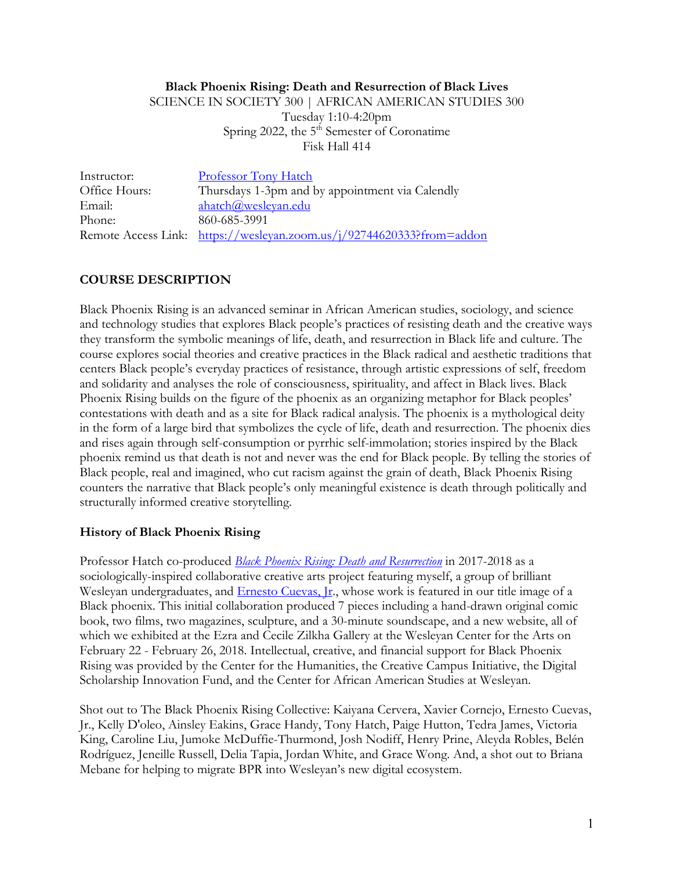#### **Black Phoenix Rising: Death and Resurrection of Black Lives**

SCIENCE IN SOCIETY 300 | AFRICAN AMERICAN STUDIES 300 Tuesday 1:10-4:20pm Spring 2022, the 5<sup>th</sup> Semester of Coronatime

Fisk Hall 414

| Instructor:   | <b>Professor Tony Hatch</b>                                           |
|---------------|-----------------------------------------------------------------------|
| Office Hours: | Thursdays 1-3pm and by appointment via Calendly                       |
| Email:        | ahatch@wesleyan.edu                                                   |
| Phone:        | 860-685-3991                                                          |
|               | Remote Access Link: https://wesleyan.zoom.us/j/92744620333?from=addon |

## **COURSE DESCRIPTION**

Black Phoenix Rising is an advanced seminar in African American studies, sociology, and science and technology studies that explores Black people's practices of resisting death and the creative ways they transform the symbolic meanings of life, death, and resurrection in Black life and culture. The course explores social theories and creative practices in the Black radical and aesthetic traditions that centers Black people's everyday practices of resistance, through artistic expressions of self, freedom and solidarity and analyses the role of consciousness, spirituality, and affect in Black lives. Black Phoenix Rising builds on the figure of the phoenix as an organizing metaphor for Black peoples' contestations with death and as a site for Black radical analysis. The phoenix is a mythological deity in the form of a large bird that symbolizes the cycle of life, death and resurrection. The phoenix dies and rises again through self-consumption or pyrrhic self-immolation; stories inspired by the Black phoenix remind us that death is not and never was the end for Black people. By telling the stories of Black people, real and imagined, who cut racism against the grain of death, Black Phoenix Rising counters the narrative that Black people's only meaningful existence is death through politically and structurally informed creative storytelling.

### **History of Black Phoenix Rising**

Professor Hatch co-produced *Black Phoenix Rising: Death and Resurrection* in 2017-2018 as a sociologically-inspired collaborative creative arts project featuring myself, a group of brilliant Wesleyan undergraduates, and Ernesto Cuevas, Jr., whose work is featured in our title image of a Black phoenix. This initial collaboration produced 7 pieces including a hand-drawn original comic book, two films, two magazines, sculpture, and a 30-minute soundscape, and a new website, all of which we exhibited at the Ezra and Cecile Zilkha Gallery at the Wesleyan Center for the Arts on February 22 - February 26, 2018. Intellectual, creative, and financial support for Black Phoenix Rising was provided by the Center for the Humanities, the Creative Campus Initiative, the Digital Scholarship Innovation Fund, and the Center for African American Studies at Wesleyan.

Shot out to The Black Phoenix Rising Collective: Kaiyana Cervera, Xavier Cornejo, Ernesto Cuevas, Jr., Kelly D'oleo, Ainsley Eakins, Grace Handy, Tony Hatch, Paige Hutton, Tedra James, Victoria King, Caroline Liu, Jumoke McDuffie-Thurmond, Josh Nodiff, Henry Prine, Aleyda Robles, Belén Rodríguez, Jeneille Russell, Delia Tapia, Jordan White, and Grace Wong. And, a shot out to Briana Mebane for helping to migrate BPR into Wesleyan's new digital ecosystem.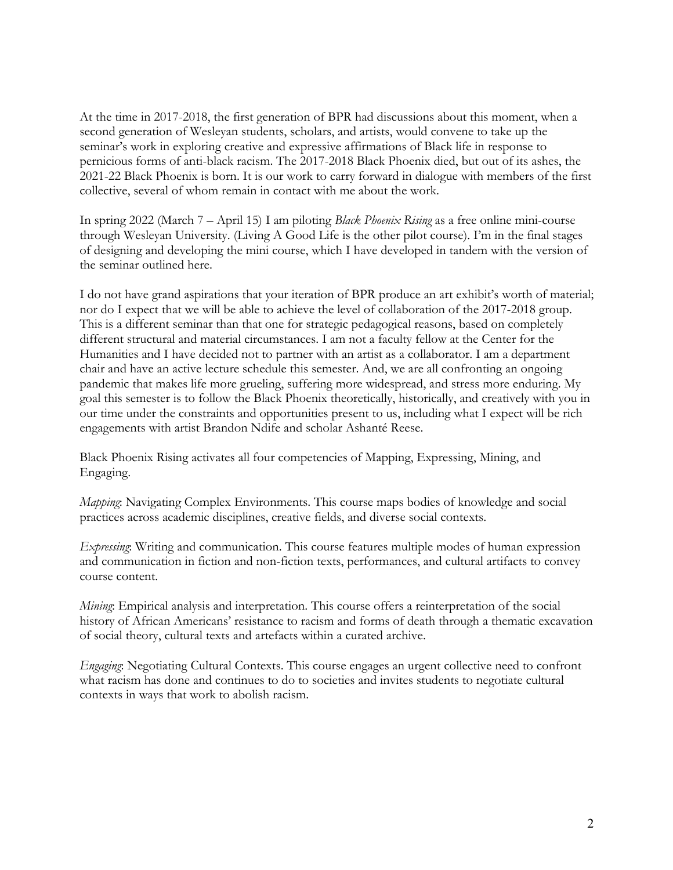At the time in 2017-2018, the first generation of BPR had discussions about this moment, when a second generation of Wesleyan students, scholars, and artists, would convene to take up the seminar's work in exploring creative and expressive affirmations of Black life in response to pernicious forms of anti-black racism. The 2017-2018 Black Phoenix died, but out of its ashes, the 2021-22 Black Phoenix is born. It is our work to carry forward in dialogue with members of the first collective, several of whom remain in contact with me about the work.

In spring 2022 (March 7 – April 15) I am piloting *Black Phoenix Rising* as a free online mini-course through Wesleyan University. (Living A Good Life is the other pilot course). I'm in the final stages of designing and developing the mini course, which I have developed in tandem with the version of the seminar outlined here.

I do not have grand aspirations that your iteration of BPR produce an art exhibit's worth of material; nor do I expect that we will be able to achieve the level of collaboration of the 2017-2018 group. This is a different seminar than that one for strategic pedagogical reasons, based on completely different structural and material circumstances. I am not a faculty fellow at the Center for the Humanities and I have decided not to partner with an artist as a collaborator. I am a department chair and have an active lecture schedule this semester. And, we are all confronting an ongoing pandemic that makes life more grueling, suffering more widespread, and stress more enduring. My goal this semester is to follow the Black Phoenix theoretically, historically, and creatively with you in our time under the constraints and opportunities present to us, including what I expect will be rich engagements with artist Brandon Ndife and scholar Ashanté Reese.

Black Phoenix Rising activates all four competencies of Mapping, Expressing, Mining, and Engaging.

*Mapping*: Navigating Complex Environments. This course maps bodies of knowledge and social practices across academic disciplines, creative fields, and diverse social contexts.

*Expressing*: Writing and communication. This course features multiple modes of human expression and communication in fiction and non-fiction texts, performances, and cultural artifacts to convey course content.

*Mining*: Empirical analysis and interpretation. This course offers a reinterpretation of the social history of African Americans' resistance to racism and forms of death through a thematic excavation of social theory, cultural texts and artefacts within a curated archive.

*Engaging*: Negotiating Cultural Contexts. This course engages an urgent collective need to confront what racism has done and continues to do to societies and invites students to negotiate cultural contexts in ways that work to abolish racism.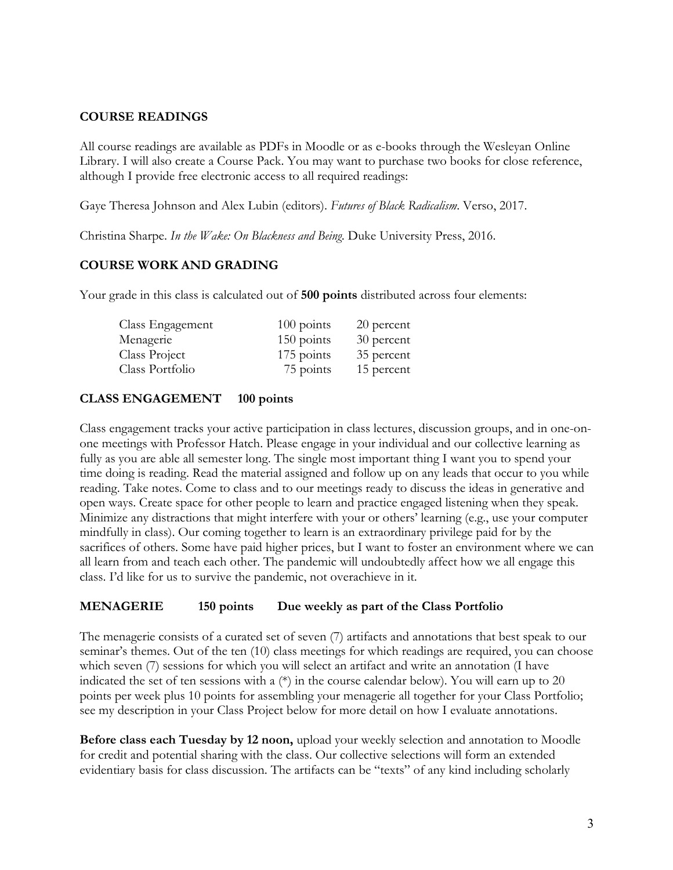#### **COURSE READINGS**

All course readings are available as PDFs in Moodle or as e-books through the Wesleyan Online Library. I will also create a Course Pack. You may want to purchase two books for close reference, although I provide free electronic access to all required readings:

Gaye Theresa Johnson and Alex Lubin (editors). *Futures of Black Radicalism*. Verso, 2017.

Christina Sharpe. *In the Wake: On Blackness and Being*. Duke University Press, 2016.

# **COURSE WORK AND GRADING**

Your grade in this class is calculated out of **500 points** distributed across four elements:

| Class Engagement | $100$ points | 20 percent |
|------------------|--------------|------------|
| Menagerie        | $150$ points | 30 percent |
| Class Project    | 175 points   | 35 percent |
| Class Portfolio  | 75 points    | 15 percent |

### **CLASS ENGAGEMENT 100 points**

Class engagement tracks your active participation in class lectures, discussion groups, and in one-onone meetings with Professor Hatch. Please engage in your individual and our collective learning as fully as you are able all semester long. The single most important thing I want you to spend your time doing is reading. Read the material assigned and follow up on any leads that occur to you while reading. Take notes. Come to class and to our meetings ready to discuss the ideas in generative and open ways. Create space for other people to learn and practice engaged listening when they speak. Minimize any distractions that might interfere with your or others' learning (e.g., use your computer mindfully in class). Our coming together to learn is an extraordinary privilege paid for by the sacrifices of others. Some have paid higher prices, but I want to foster an environment where we can all learn from and teach each other. The pandemic will undoubtedly affect how we all engage this class. I'd like for us to survive the pandemic, not overachieve in it.

#### **MENAGERIE 150 points Due weekly as part of the Class Portfolio**

The menagerie consists of a curated set of seven (7) artifacts and annotations that best speak to our seminar's themes. Out of the ten (10) class meetings for which readings are required, you can choose which seven (7) sessions for which you will select an artifact and write an annotation (I have indicated the set of ten sessions with a (\*) in the course calendar below). You will earn up to 20 points per week plus 10 points for assembling your menagerie all together for your Class Portfolio; see my description in your Class Project below for more detail on how I evaluate annotations.

**Before class each Tuesday by 12 noon,** upload your weekly selection and annotation to Moodle for credit and potential sharing with the class. Our collective selections will form an extended evidentiary basis for class discussion. The artifacts can be "texts" of any kind including scholarly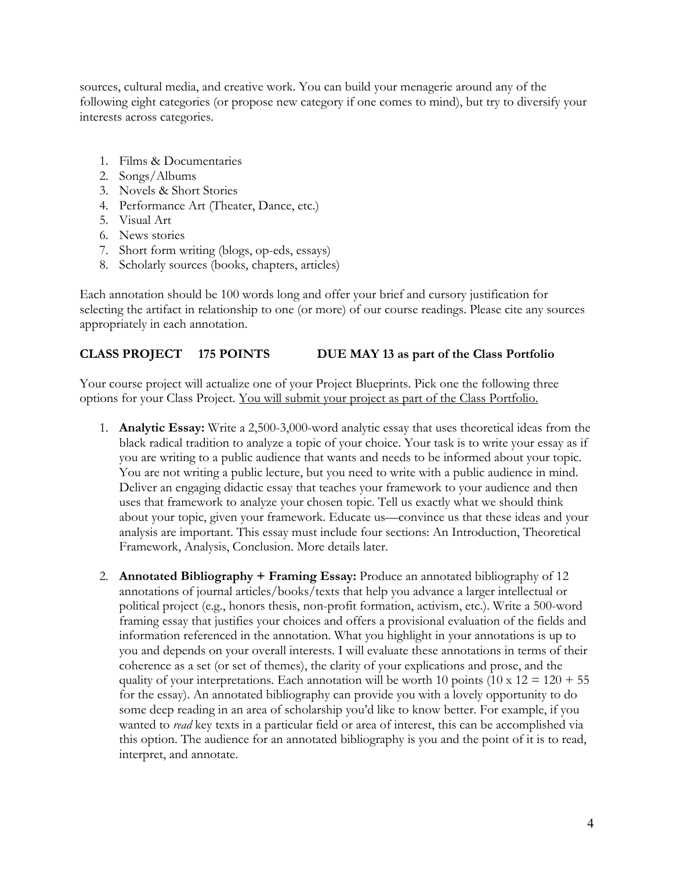sources, cultural media, and creative work. You can build your menagerie around any of the following eight categories (or propose new category if one comes to mind), but try to diversify your interests across categories.

- 1. Films & Documentaries
- 2. Songs/Albums
- 3. Novels & Short Stories
- 4. Performance Art (Theater, Dance, etc.)
- 5. Visual Art
- 6. News stories
- 7. Short form writing (blogs, op-eds, essays)
- 8. Scholarly sources (books, chapters, articles)

Each annotation should be 100 words long and offer your brief and cursory justification for selecting the artifact in relationship to one (or more) of our course readings. Please cite any sources appropriately in each annotation.

#### **CLASS PROJECT 175 POINTS DUE MAY 13 as part of the Class Portfolio**

Your course project will actualize one of your Project Blueprints. Pick one the following three options for your Class Project. You will submit your project as part of the Class Portfolio.

- 1. **Analytic Essay:** Write a 2,500-3,000-word analytic essay that uses theoretical ideas from the black radical tradition to analyze a topic of your choice. Your task is to write your essay as if you are writing to a public audience that wants and needs to be informed about your topic. You are not writing a public lecture, but you need to write with a public audience in mind. Deliver an engaging didactic essay that teaches your framework to your audience and then uses that framework to analyze your chosen topic. Tell us exactly what we should think about your topic, given your framework. Educate us—convince us that these ideas and your analysis are important. This essay must include four sections: An Introduction, Theoretical Framework, Analysis, Conclusion. More details later.
- 2. **Annotated Bibliography + Framing Essay:** Produce an annotated bibliography of 12 annotations of journal articles/books/texts that help you advance a larger intellectual or political project (e.g., honors thesis, non-profit formation, activism, etc.). Write a 500-word framing essay that justifies your choices and offers a provisional evaluation of the fields and information referenced in the annotation. What you highlight in your annotations is up to you and depends on your overall interests. I will evaluate these annotations in terms of their coherence as a set (or set of themes), the clarity of your explications and prose, and the quality of your interpretations. Each annotation will be worth 10 points (10 x  $12 = 120 + 55$ ) for the essay). An annotated bibliography can provide you with a lovely opportunity to do some deep reading in an area of scholarship you'd like to know better. For example, if you wanted to *read* key texts in a particular field or area of interest, this can be accomplished via this option. The audience for an annotated bibliography is you and the point of it is to read, interpret, and annotate.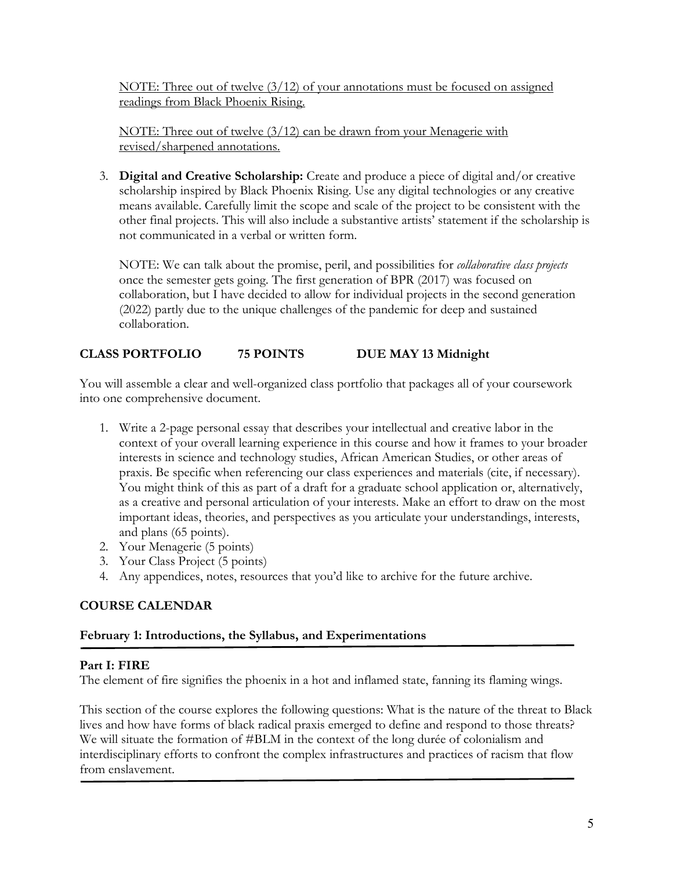NOTE: Three out of twelve (3/12) of your annotations must be focused on assigned readings from Black Phoenix Rising.

NOTE: Three out of twelve (3/12) can be drawn from your Menagerie with revised/sharpened annotations.

3. **Digital and Creative Scholarship:** Create and produce a piece of digital and/or creative scholarship inspired by Black Phoenix Rising. Use any digital technologies or any creative means available. Carefully limit the scope and scale of the project to be consistent with the other final projects. This will also include a substantive artists' statement if the scholarship is not communicated in a verbal or written form.

NOTE: We can talk about the promise, peril, and possibilities for *collaborative class projects* once the semester gets going. The first generation of BPR (2017) was focused on collaboration, but I have decided to allow for individual projects in the second generation (2022) partly due to the unique challenges of the pandemic for deep and sustained collaboration.

# **CLASS PORTFOLIO 75 POINTS DUE MAY 13 Midnight**

You will assemble a clear and well-organized class portfolio that packages all of your coursework into one comprehensive document.

- 1. Write a 2-page personal essay that describes your intellectual and creative labor in the context of your overall learning experience in this course and how it frames to your broader interests in science and technology studies, African American Studies, or other areas of praxis. Be specific when referencing our class experiences and materials (cite, if necessary). You might think of this as part of a draft for a graduate school application or, alternatively, as a creative and personal articulation of your interests. Make an effort to draw on the most important ideas, theories, and perspectives as you articulate your understandings, interests, and plans (65 points).
- 2. Your Menagerie (5 points)
- 3. Your Class Project (5 points)
- 4. Any appendices, notes, resources that you'd like to archive for the future archive.

# **COURSE CALENDAR**

# **February 1: Introductions, the Syllabus, and Experimentations**

# **Part I: FIRE**

The element of fire signifies the phoenix in a hot and inflamed state, fanning its flaming wings.

This section of the course explores the following questions: What is the nature of the threat to Black lives and how have forms of black radical praxis emerged to define and respond to those threats? We will situate the formation of #BLM in the context of the long durée of colonialism and interdisciplinary efforts to confront the complex infrastructures and practices of racism that flow from enslavement.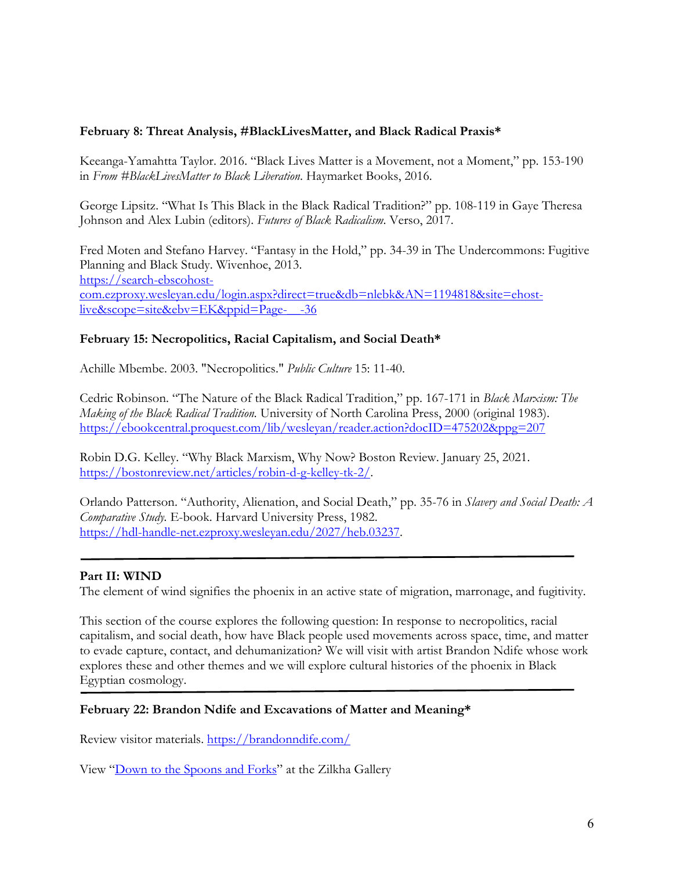### **February 8: Threat Analysis, #BlackLivesMatter, and Black Radical Praxis\***

Keeanga-Yamahtta Taylor. 2016. "Black Lives Matter is a Movement, not a Moment," pp. 153-190 in *From #BlackLivesMatter to Black Liberation*. Haymarket Books, 2016.

George Lipsitz. "What Is This Black in the Black Radical Tradition?" pp. 108-119 in Gaye Theresa Johnson and Alex Lubin (editors). *Futures of Black Radicalism*. Verso, 2017.

Fred Moten and Stefano Harvey. "Fantasy in the Hold," pp. 34-39 in The Undercommons: Fugitive Planning and Black Study. Wivenhoe, 2013. https://search-ebscohostcom.ezproxy.wesleyan.edu/login.aspx?direct=true&db=nlebk&AN=1194818&site=ehostlive&scope=site&ebv=EK&ppid=Page-\_\_-36

## **February 15: Necropolitics, Racial Capitalism, and Social Death\***

Achille Mbembe. 2003. "Necropolitics." *Public Culture* 15: 11-40.

Cedric Robinson. "The Nature of the Black Radical Tradition," pp. 167-171 in *Black Marxism: The Making of the Black Radical Tradition.* University of North Carolina Press, 2000 (original 1983). https://ebookcentral.proquest.com/lib/wesleyan/reader.action?docID=475202&ppg=207

Robin D.G. Kelley. "Why Black Marxism, Why Now? Boston Review. January 25, 2021. https://bostonreview.net/articles/robin-d-g-kelley-tk-2/.

Orlando Patterson. "Authority, Alienation, and Social Death," pp. 35-76 in *Slavery and Social Death: A Comparative Study.* E-book. Harvard University Press, 1982. https://hdl-handle-net.ezproxy.wesleyan.edu/2027/heb.03237.

# **Part II: WIND**

The element of wind signifies the phoenix in an active state of migration, marronage, and fugitivity.

This section of the course explores the following question: In response to necropolitics, racial capitalism, and social death, how have Black people used movements across space, time, and matter to evade capture, contact, and dehumanization? We will visit with artist Brandon Ndife whose work explores these and other themes and we will explore cultural histories of the phoenix in Black Egyptian cosmology.

### **February 22: Brandon Ndife and Excavations of Matter and Meaning\***

Review visitor materials. https://brandonndife.com/

View "Down to the Spoons and Forks" at the Zilkha Gallery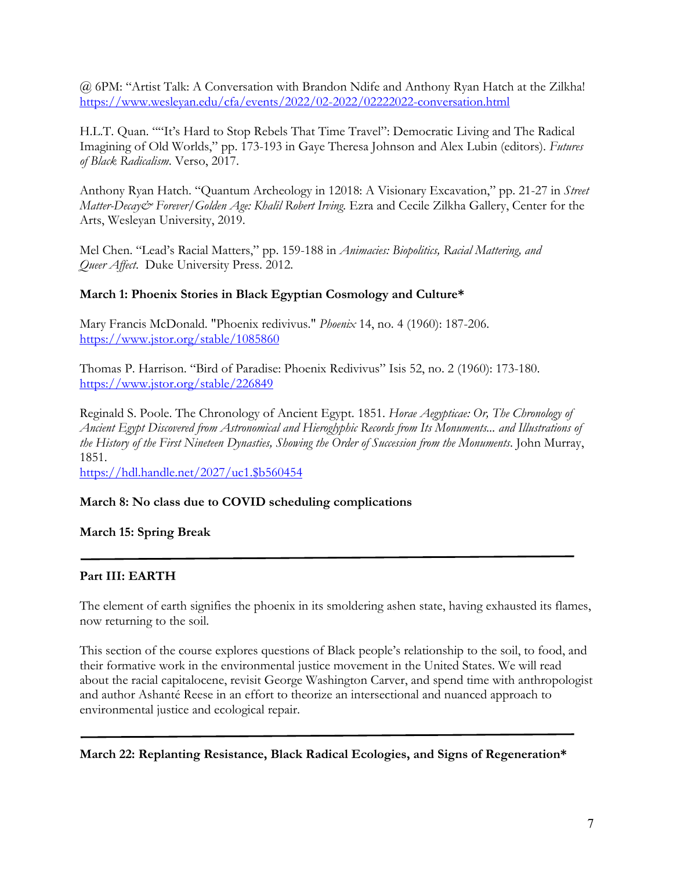@ 6PM: "Artist Talk: A Conversation with Brandon Ndife and Anthony Ryan Hatch at the Zilkha! https://www.wesleyan.edu/cfa/events/2022/02-2022/02222022-conversation.html

H.L.T. Quan. ""It's Hard to Stop Rebels That Time Travel": Democratic Living and The Radical Imagining of Old Worlds," pp. 173-193 in Gaye Theresa Johnson and Alex Lubin (editors). *Futures of Black Radicalism*. Verso, 2017.

Anthony Ryan Hatch. "Quantum Archeology in 12018: A Visionary Excavation," pp. 21-27 in *Street Matter-Decay& Forever/Golden Age: Khalil Robert Irving.* Ezra and Cecile Zilkha Gallery, Center for the Arts, Wesleyan University, 2019.

Mel Chen. "Lead's Racial Matters," pp. 159-188 in *Animacies: Biopolitics, Racial Mattering, and Queer Affect*. Duke University Press. 2012.

### **March 1: Phoenix Stories in Black Egyptian Cosmology and Culture\***

Mary Francis McDonald. "Phoenix redivivus." *Phoenix* 14, no. 4 (1960): 187-206. https://www.jstor.org/stable/1085860

Thomas P. Harrison. "Bird of Paradise: Phoenix Redivivus" Isis 52, no. 2 (1960): 173-180. https://www.jstor.org/stable/226849

Reginald S. Poole. The Chronology of Ancient Egypt. 1851. *Horae Aegypticae: Or, The Chronology of Ancient Egypt Discovered from Astronomical and Hieroglyphic Records from Its Monuments... and Illustrations of the History of the First Nineteen Dynasties, Showing the Order of Succession from the Monuments*. John Murray, 1851.

https://hdl.handle.net/2027/uc1.\$b560454

#### **March 8: No class due to COVID scheduling complications**

**March 15: Spring Break**

### **Part III: EARTH**

The element of earth signifies the phoenix in its smoldering ashen state, having exhausted its flames, now returning to the soil.

This section of the course explores questions of Black people's relationship to the soil, to food, and their formative work in the environmental justice movement in the United States. We will read about the racial capitalocene, revisit George Washington Carver, and spend time with anthropologist and author Ashanté Reese in an effort to theorize an intersectional and nuanced approach to environmental justice and ecological repair.

#### **March 22: Replanting Resistance, Black Radical Ecologies, and Signs of Regeneration\***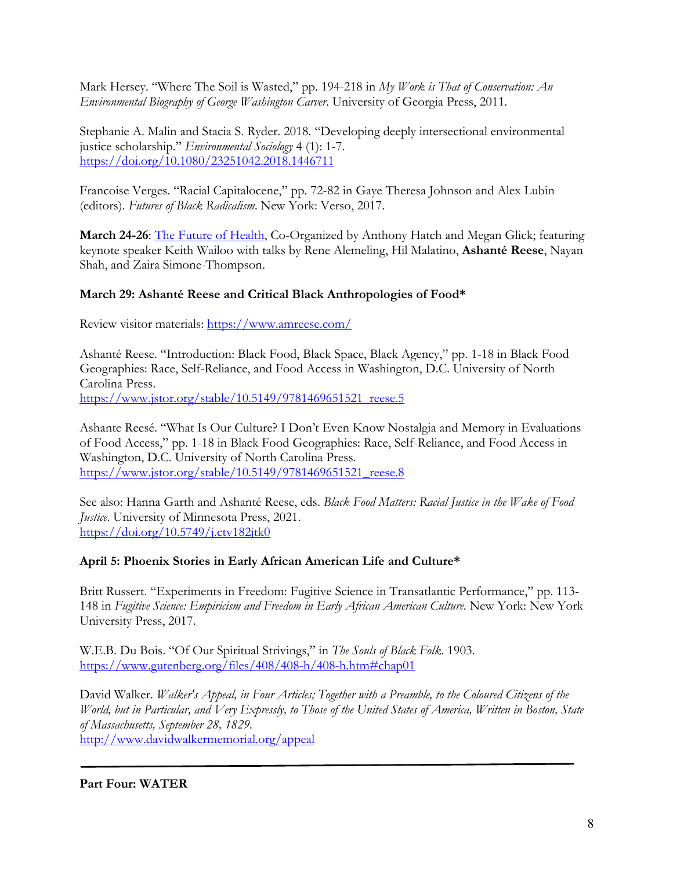Mark Hersey. "Where The Soil is Wasted," pp. 194-218 in *My Work is That of Conservation: An Environmental Biography of George Washington Carver*. University of Georgia Press, 2011.

Stephanie A. Malin and Stacia S. Ryder. 2018. "Developing deeply intersectional environmental justice scholarship." *Environmental Sociology* 4 (1): 1-7. https://doi.org/10.1080/23251042.2018.1446711

Francoise Verges. "Racial Capitalocene," pp. 72-82 in Gaye Theresa Johnson and Alex Lubin (editors). *Futures of Black Radicalism*. New York: Verso, 2017.

**March 24-26**: The Future of Health, Co-Organized by Anthony Hatch and Megan Glick; featuring keynote speaker Keith Wailoo with talks by Rene Alemeling, Hil Malatino, **Ashanté Reese**, Nayan Shah, and Zaira Simone-Thompson.

## **March 29: Ashanté Reese and Critical Black Anthropologies of Food\***

Review visitor materials: https://www.amreese.com/

Ashanté Reese. "Introduction: Black Food, Black Space, Black Agency," pp. 1-18 in Black Food Geographies: Race, Self-Reliance, and Food Access in Washington, D.C. University of North Carolina Press. https://www.jstor.org/stable/10.5149/9781469651521\_reese.5

Ashante Reesé. "What Is Our Culture? I Don't Even Know Nostalgia and Memory in Evaluations of Food Access," pp. 1-18 in Black Food Geographies: Race, Self-Reliance, and Food Access in Washington, D.C. University of North Carolina Press. https://www.jstor.org/stable/10.5149/9781469651521\_reese.8

See also: Hanna Garth and Ashanté Reese, eds. *Black Food Matters: Racial Justice in the Wake of Food Justice*. University of Minnesota Press, 2021. https://doi.org/10.5749/j.ctv182jtk0

### **April 5: Phoenix Stories in Early African American Life and Culture\***

Britt Russert. "Experiments in Freedom: Fugitive Science in Transatlantic Performance," pp. 113- 148 in *Fugitive Science: Empiricism and Freedom in Early African American Culture*. New York: New York University Press, 2017.

W.E.B. Du Bois. "Of Our Spiritual Strivings," in *The Souls of Black Folk*. 1903. https://www.gutenberg.org/files/408/408-h/408-h.htm#chap01

David Walker. *Walker's Appeal, in Four Articles; Together with a Preamble, to the Coloured Citizens of the World, but in Particular, and Very Expressly, to Those of the United States of America, Written in Boston, State of Massachusetts, September 28, 1829.*  http://www.davidwalkermemorial.org/appeal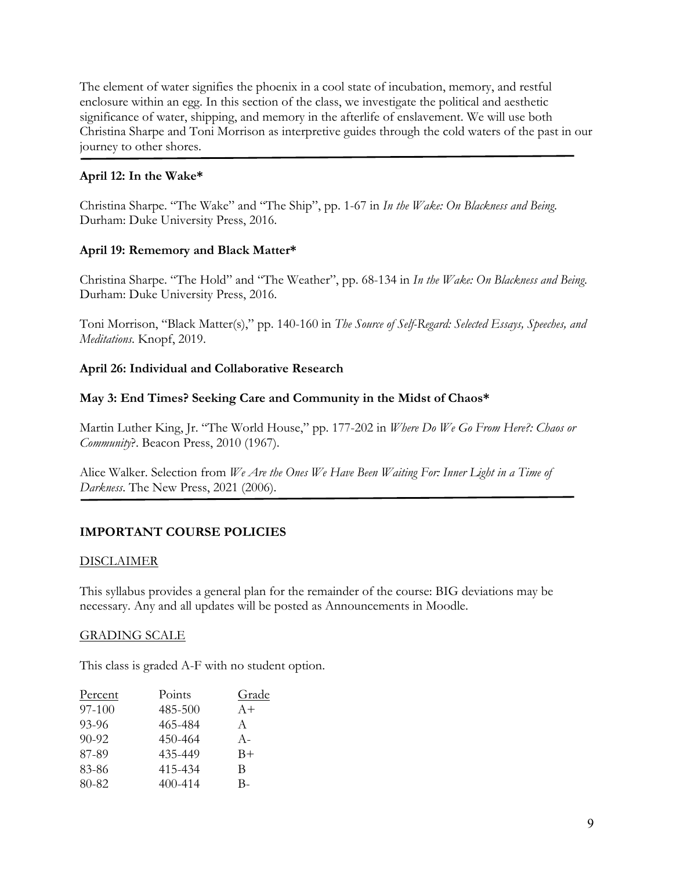The element of water signifies the phoenix in a cool state of incubation, memory, and restful enclosure within an egg. In this section of the class, we investigate the political and aesthetic significance of water, shipping, and memory in the afterlife of enslavement. We will use both Christina Sharpe and Toni Morrison as interpretive guides through the cold waters of the past in our journey to other shores.

## **April 12: In the Wake\***

Christina Sharpe. "The Wake" and "The Ship", pp. 1-67 in *In the Wake: On Blackness and Being*. Durham: Duke University Press, 2016.

## **April 19: Rememory and Black Matter\***

Christina Sharpe. "The Hold" and "The Weather", pp. 68-134 in *In the Wake: On Blackness and Being*. Durham: Duke University Press, 2016.

Toni Morrison, "Black Matter(s)," pp. 140-160 in *The Source of Self-Regard: Selected Essays, Speeches, and Meditations*. Knopf, 2019.

## **April 26: Individual and Collaborative Research**

## **May 3: End Times? Seeking Care and Community in the Midst of Chaos\***

Martin Luther King, Jr. "The World House," pp. 177-202 in *Where Do We Go From Here?: Chaos or Community*?. Beacon Press, 2010 (1967).

Alice Walker. Selection from *We Are the Ones We Have Been Waiting For: Inner Light in a Time of Darkness*. The New Press, 2021 (2006).

# **IMPORTANT COURSE POLICIES**

### DISCLAIMER

This syllabus provides a general plan for the remainder of the course: BIG deviations may be necessary. Any and all updates will be posted as Announcements in Moodle.

### GRADING SCALE

This class is graded A-F with no student option.

| <b>Percent</b> | Points      | Grade |
|----------------|-------------|-------|
| 97-100         | 485-500     | $A+$  |
| 93-96          | 465-484     | A     |
| $90 - 92$      | 450-464     | $A -$ |
| 87-89          | 435-449     | $B+$  |
| 83-86          | 415-434     | B     |
| 80-82          | $400 - 414$ | В-    |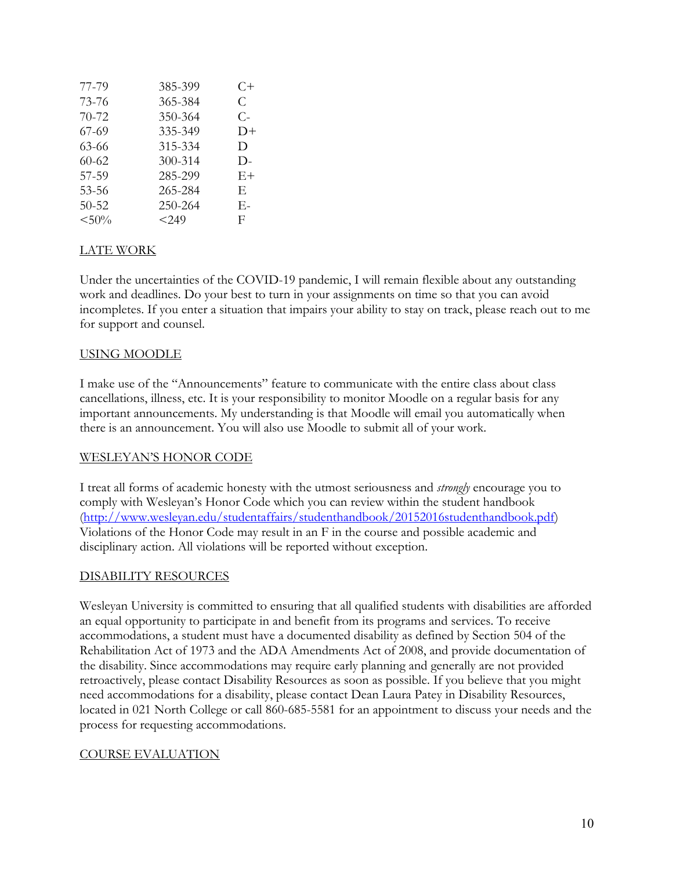| 77-79     | 385-399 | C+   |
|-----------|---------|------|
| 73-76     | 365-384 | C    |
| 70-72     | 350-364 | $C-$ |
| $67 - 69$ | 335-349 | $D+$ |
| 63-66     | 315-334 | D    |
| $60-62$   | 300-314 | D-   |
| 57-59     | 285-299 | $E+$ |
| 53-56     | 265-284 | E,   |
| $50 - 52$ | 250-264 | Е-   |
| $< 50\%$  | < 2.49  | F    |

# LATE WORK

Under the uncertainties of the COVID-19 pandemic, I will remain flexible about any outstanding work and deadlines. Do your best to turn in your assignments on time so that you can avoid incompletes. If you enter a situation that impairs your ability to stay on track, please reach out to me for support and counsel.

### USING MOODLE

I make use of the "Announcements" feature to communicate with the entire class about class cancellations, illness, etc. It is your responsibility to monitor Moodle on a regular basis for any important announcements. My understanding is that Moodle will email you automatically when there is an announcement. You will also use Moodle to submit all of your work.

#### WESLEYAN'S HONOR CODE

I treat all forms of academic honesty with the utmost seriousness and *strongly* encourage you to comply with Wesleyan's Honor Code which you can review within the student handbook (http://www.wesleyan.edu/studentaffairs/studenthandbook/20152016studenthandbook.pdf) Violations of the Honor Code may result in an F in the course and possible academic and disciplinary action. All violations will be reported without exception.

### DISABILITY RESOURCES

Wesleyan University is committed to ensuring that all qualified students with disabilities are afforded an equal opportunity to participate in and benefit from its programs and services. To receive accommodations, a student must have a documented disability as defined by Section 504 of the Rehabilitation Act of 1973 and the ADA Amendments Act of 2008, and provide documentation of the disability. Since accommodations may require early planning and generally are not provided retroactively, please contact Disability Resources as soon as possible. If you believe that you might need accommodations for a disability, please contact Dean Laura Patey in Disability Resources, located in 021 North College or call 860-685-5581 for an appointment to discuss your needs and the process for requesting accommodations.

### COURSE EVALUATION